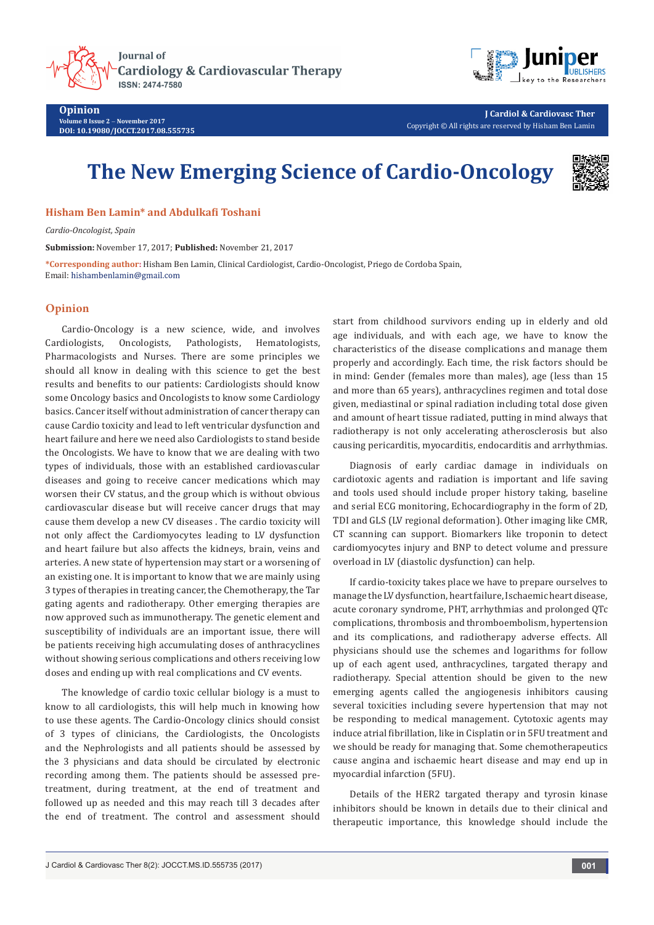

**Journal of** Cardiology & Cardiovascular Therapy **ISSN: 2474-7580** 



**J Cardiol & Cardiovasc Ther** Copyright © All rights are reserved by Hisham Ben Lamin

## **The New Emerging Science of Cardio-Oncology**



**Hisham Ben Lamin\* and Abdulkafi Toshani**

*Cardio-Oncologist, Spain*

**Submission:** November 17, 2017; **Published:** November 21, 2017

**\*Corresponding author:** Hisham Ben Lamin, Clinical Cardiologist, Cardio-Oncologist, Priego de Cordoba Spain, Email: hishambenlamin@gmail.com

## **Opinion**

Cardio-Oncology is a new science, wide, and involves<br>Cardiologists, Oncologists, Pathologists, Hematologists, Oncologists, Pathologists, Pharmacologists and Nurses. There are some principles we should all know in dealing with this science to get the best results and benefits to our patients: Cardiologists should know some Oncology basics and Oncologists to know some Cardiology basics. Cancer itself without administration of cancer therapy can cause Cardio toxicity and lead to left ventricular dysfunction and heart failure and here we need also Cardiologists to stand beside the Oncologists. We have to know that we are dealing with two types of individuals, those with an established cardiovascular diseases and going to receive cancer medications which may worsen their CV status, and the group which is without obvious cardiovascular disease but will receive cancer drugs that may cause them develop a new CV diseases . The cardio toxicity will not only affect the Cardiomyocytes leading to LV dysfunction and heart failure but also affects the kidneys, brain, veins and arteries. A new state of hypertension may start or a worsening of an existing one. It is important to know that we are mainly using 3 types of therapies in treating cancer, the Chemotherapy, the Tar gating agents and radiotherapy. Other emerging therapies are now approved such as immunotherapy. The genetic element and susceptibility of individuals are an important issue, there will be patients receiving high accumulating doses of anthracyclines without showing serious complications and others receiving low doses and ending up with real complications and CV events.

The knowledge of cardio toxic cellular biology is a must to know to all cardiologists, this will help much in knowing how to use these agents. The Cardio-Oncology clinics should consist of 3 types of clinicians, the Cardiologists, the Oncologists and the Nephrologists and all patients should be assessed by the 3 physicians and data should be circulated by electronic recording among them. The patients should be assessed pretreatment, during treatment, at the end of treatment and followed up as needed and this may reach till 3 decades after the end of treatment. The control and assessment should

start from childhood survivors ending up in elderly and old age individuals, and with each age, we have to know the characteristics of the disease complications and manage them properly and accordingly. Each time, the risk factors should be in mind: Gender (females more than males), age (less than 15 and more than 65 years), anthracyclines regimen and total dose given, mediastinal or spinal radiation including total dose given and amount of heart tissue radiated, putting in mind always that radiotherapy is not only accelerating atherosclerosis but also causing pericarditis, myocarditis, endocarditis and arrhythmias.

Diagnosis of early cardiac damage in individuals on cardiotoxic agents and radiation is important and life saving and tools used should include proper history taking, baseline and serial ECG monitoring, Echocardiography in the form of 2D, TDI and GLS (LV regional deformation). Other imaging like CMR, CT scanning can support. Biomarkers like troponin to detect cardiomyocytes injury and BNP to detect volume and pressure overload in LV (diastolic dysfunction) can help.

If cardio-toxicity takes place we have to prepare ourselves to manage the LV dysfunction, heart failure, Ischaemic heart disease, acute coronary syndrome, PHT, arrhythmias and prolonged QTc complications, thrombosis and thromboembolism, hypertension and its complications, and radiotherapy adverse effects. All physicians should use the schemes and logarithms for follow up of each agent used, anthracyclines, targated therapy and radiotherapy. Special attention should be given to the new emerging agents called the angiogenesis inhibitors causing several toxicities including severe hypertension that may not be responding to medical management. Cytotoxic agents may induce atrial fibrillation, like in Cisplatin or in 5FU treatment and we should be ready for managing that. Some chemotherapeutics cause angina and ischaemic heart disease and may end up in myocardial infarction (5FU).

Details of the HER2 targated therapy and tyrosin kinase inhibitors should be known in details due to their clinical and therapeutic importance, this knowledge should include the